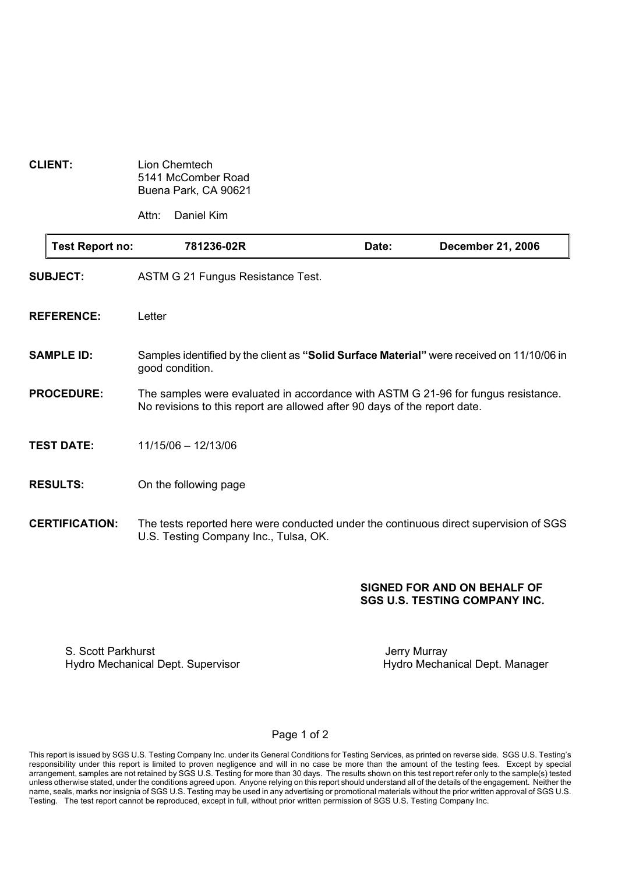| <b>CLIENT:</b> | Lion Chemtech        |
|----------------|----------------------|
|                | 5141 McComber Road   |
|                | Buena Park, CA 90621 |

Attn: Daniel Kim

| Test Report no:       | 781236-02R                                                                                                                                                     | Date: | <b>December 21, 2006</b> |
|-----------------------|----------------------------------------------------------------------------------------------------------------------------------------------------------------|-------|--------------------------|
| <b>SUBJECT:</b>       | ASTM G 21 Fungus Resistance Test.                                                                                                                              |       |                          |
| <b>REFERENCE:</b>     | Letter                                                                                                                                                         |       |                          |
| <b>SAMPLE ID:</b>     | Samples identified by the client as "Solid Surface Material" were received on 11/10/06 in<br>good condition.                                                   |       |                          |
| <b>PROCEDURE:</b>     | The samples were evaluated in accordance with ASTM G 21-96 for fungus resistance.<br>No revisions to this report are allowed after 90 days of the report date. |       |                          |
| <b>TEST DATE:</b>     | 11/15/06 - 12/13/06                                                                                                                                            |       |                          |
| <b>RESULTS:</b>       | On the following page                                                                                                                                          |       |                          |
| <b>CERTIFICATION:</b> | The tests reported here were conducted under the continuous direct supervision of SGS<br>U.S. Testing Company Inc., Tulsa, OK.                                 |       |                          |

### SIGNED FOR AND ON BEHALF OF SGS U.S. TESTING COMPANY INC.

S. Scott Parkhurst<br>
Hydro Mechanical Dept. Supervisor<br>
Hydro Mechanical Dept. Manager Hydro Mechanical Dept. Supervisor

#### Page 1 of 2

This report is issued by SGS U.S. Testing Company Inc. under its General Conditions for Testing Services, as printed on reverse side. SGS U.S. Testing's responsibility under this report is limited to proven negligence and will in no case be more than the amount of the testing fees. Except by special arrangement, samples are not retained by SGS U.S. Testing for more than 30 days. The results shown on this test report refer only to the sample(s) tested unless otherwise stated, under the conditions agreed upon. Anyone relying on this report should understand all of the details of the engagement. Neither the name, seals, marks nor insignia of SGS U.S. Testing may be used in any advertising or promotional materials without the prior written approval of SGS U.S. Testing. The test report cannot be reproduced, except in full, without prior written permission of SGS U.S. Testing Company Inc.